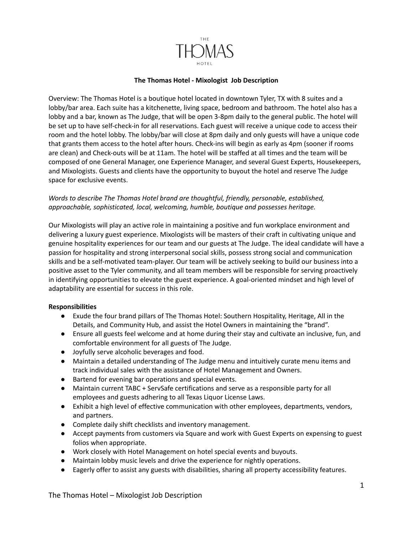

## **The Thomas Hotel - Mixologist Job Description**

Overview: The Thomas Hotel is a boutique hotel located in downtown Tyler, TX with 8 suites and a lobby/bar area. Each suite has a kitchenette, living space, bedroom and bathroom. The hotel also has a lobby and a bar, known as The Judge, that will be open 3-8pm daily to the general public. The hotel will be set up to have self-check-in for all reservations. Each guest will receive a unique code to access their room and the hotel lobby. The lobby/bar will close at 8pm daily and only guests will have a unique code that grants them access to the hotel after hours. Check-ins will begin as early as 4pm (sooner if rooms are clean) and Check-outs will be at 11am. The hotel will be staffed at all times and the team will be composed of one General Manager, one Experience Manager, and several Guest Experts, Housekeepers, and Mixologists. Guests and clients have the opportunity to buyout the hotel and reserve The Judge space for exclusive events.

## *Words to describe The Thomas Hotel brand are thoughtful, friendly, personable, established, approachable, sophisticated, local, welcoming, humble, boutique and possesses heritage.*

Our Mixologists will play an active role in maintaining a positive and fun workplace environment and delivering a luxury guest experience. Mixologists will be masters of their craft in cultivating unique and genuine hospitality experiences for our team and our guests at The Judge. The ideal candidate will have a passion for hospitality and strong interpersonal social skills, possess strong social and communication skills and be a self-motivated team-player. Our team will be actively seeking to build our business into a positive asset to the Tyler community, and all team members will be responsible for serving proactively in identifying opportunities to elevate the guest experience. A goal-oriented mindset and high level of adaptability are essential for success in this role.

## **Responsibilities**

- Exude the four brand pillars of The Thomas Hotel: Southern Hospitality, Heritage, All in the Details, and Community Hub, and assist the Hotel Owners in maintaining the "brand".
- Ensure all guests feel welcome and at home during their stay and cultivate an inclusive, fun, and comfortable environment for all guests of The Judge.
- Joyfully serve alcoholic beverages and food.
- Maintain a detailed understanding of The Judge menu and intuitively curate menu items and track individual sales with the assistance of Hotel Management and Owners.
- Bartend for evening bar operations and special events.
- Maintain current TABC + ServSafe certifications and serve as a responsible party for all employees and guests adhering to all Texas Liquor License Laws.
- Exhibit a high level of effective communication with other employees, departments, vendors, and partners.
- Complete daily shift checklists and inventory management.
- Accept payments from customers via Square and work with Guest Experts on expensing to guest folios when appropriate.
- Work closely with Hotel Management on hotel special events and buyouts.
- Maintain lobby music levels and drive the experience for nightly operations.
- Eagerly offer to assist any guests with disabilities, sharing all property accessibility features.